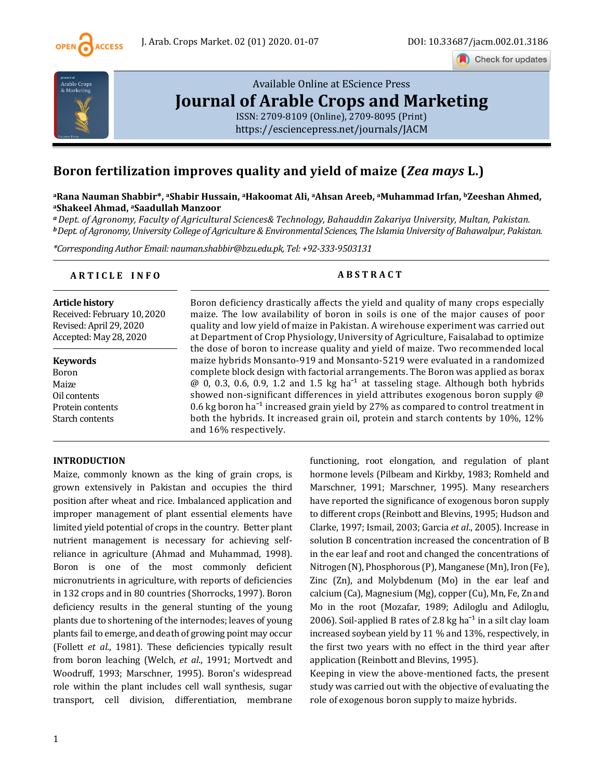

Check for updates



# [Available Online at EScience Press](https://esciencepress.net/journals/JACM) **[Journal of Arable Crops and Marketing](https://esciencepress.net/journals/JACM)**

[ISSN: 2709-8109 \(Online\), 2709-8095 \(Print\)](https://esciencepress.net/journals/JACM) <https://esciencepress.net/journals/JACM>

# **Boron fertilization improves quality and yield of maize (***Zea mays* **L.)**

**<sup>a</sup>Rana Nauman Shabbir\*, aShabir Hussain, <sup>a</sup>Hakoomat Ali, <sup>a</sup>Ahsan Areeb, <sup>a</sup>Muhammad Irfan, <sup>b</sup>Zeeshan Ahmed, <sup>a</sup>Shakeel Ahmad, <sup>a</sup>Saadullah Manzoor**

*<sup>a</sup>Dept. of Agronomy, Faculty of Agricultural Sciences& Technology, Bahauddin Zakariya University, Multan, Pakistan. <sup>b</sup>Dept. of Agronomy, University College of Agriculture & Environmental Sciences, The Islamia University of Bahawalpur, Pakistan.*

*\*Corresponding Author Email: nauman.shabbir@bzu.edu.pk, Tel: +92-333-9503131*

# **A R T I C L E I N F O A B S T R A C T**

**Article history** Received: February 10, 2020 Revised: April 29, 2020 Accepted: May 28, 2020

**Keywords** Boron Maize Oil contents Protein contents Starch contents

Boron deficiency drastically affects the yield and quality of many crops especially maize. The low availability of boron in soils is one of the major causes of poor quality and low yield of maize in Pakistan. A wirehouse experiment was carried out at Department of Crop Physiology, University of Agriculture, Faisalabad to optimize the dose of boron to increase quality and yield of maize. Two recommended local maize hybrids Monsanto-919 and Monsanto-5219 were evaluated in a randomized complete block design with factorial arrangements. The Boron was applied as borax  $\omega$  0, 0.3, 0.6, 0.9, 1.2 and 1.5 kg ha<sup>-1</sup> at tasseling stage. Although both hybrids showed non-significant differences in yield attributes exogenous boron supply @ 0.6 kg boron ha<sup>-1</sup> increased grain yield by 27% as compared to control treatment in both the hybrids. It increased grain oil, protein and starch contents by 10%, 12% and 16% respectively.

# **INTRODUCTION**

Maize, commonly known as the king of grain crops, is grown extensively in Pakistan and occupies the third position after wheat and rice. Imbalanced application and improper management of plant essential elements have limited yield potential of crops in the country. Better plant nutrient management is necessary for achieving selfreliance in agriculture (Ahmad and Muhammad, 1998). Boron is one of the most commonly deficient micronutrients in agriculture, with reports of deficiencies in 132 crops and in 80 countries (Shorrocks, 1997). Boron deficiency results in the general stunting of the young plants due to shortening of the internodes; leaves of young plants fail to emerge, and death of growing point may occur (Follett *et al*., 1981). These deficiencies typically result from boron leaching (Welch, *et al*., 1991; Mortvedt and Woodruff, 1993; Marschner, 1995). Boron's widespread role within the plant includes cell wall synthesis, sugar transport, cell division, differentiation, membrane

functioning, root elongation, and regulation of plant hormone levels (Pilbeam and Kirkby, 1983; Romheld and Marschner, 1991; Marschner, 1995). Many researchers have reported the significance of exogenous boron supply to different crops (Reinbott and Blevins, 1995; Hudson and Clarke, 1997; Ismail, 2003; Garcia *et al*., 2005). Increase in solution B concentration increased the concentration of B in the ear leaf and root and changed the concentrations of Nitrogen (N), Phosphorous (P), Manganese (Mn), Iron (Fe), Zinc (Zn), and Molybdenum (Mo) in the ear leaf and calcium (Ca), Magnesium (Mg), copper (Cu), Mn, Fe, Zn and Mo in the root (Mozafar, 1989; Adiloglu and Adiloglu, 2006). Soil-applied B rates of 2.8 kg ha<sup>-1</sup> in a silt clay loam increased soybean yield by 11 % and 13%, respectively, in the first two years with no effect in the third year after application (Reinbott and Blevins, 1995).

Keeping in view the above-mentioned facts, the present study was carried out with the objective of evaluating the role of exogenous boron supply to maize hybrids.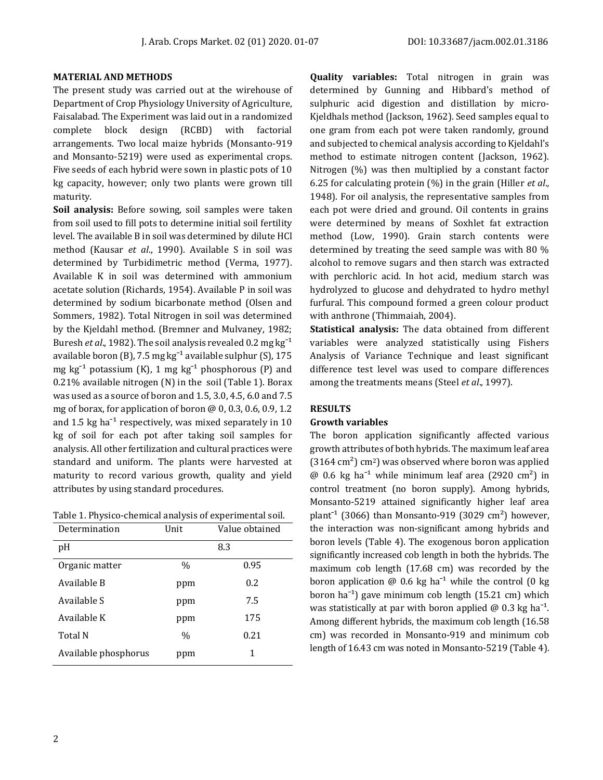#### **MATERIAL AND METHODS**

The present study was carried out at the wirehouse of Department of Crop Physiology University of Agriculture, Faisalabad. The Experiment was laid out in a randomized complete block design (RCBD) with factorial arrangements. Two local maize hybrids (Monsanto-919 and Monsanto-5219) were used as experimental crops. Five seeds of each hybrid were sown in plastic pots of 10 kg capacity, however; only two plants were grown till maturity.

**Soil analysis:** Before sowing, soil samples were taken from soil used to fill pots to determine initial soil fertility level. The available B in soil was determined by dilute HCl method (Kausar *et al*., 1990). Available S in soil was determined by Turbidimetric method (Verma, 1977). Available K in soil was determined with ammonium acetate solution (Richards, 1954). Available P in soil was determined by sodium bicarbonate method (Olsen and Sommers, 1982). Total Nitrogen in soil was determined by the Kjeldahl method. (Bremner and Mulvaney, 1982; Buresh *et al.*, 1982). The soil analysis revealed 0.2 mg kg<sup>-1</sup> available boron (B), 7.5 mg kg<sup>-1</sup> available sulphur (S), 175 mg kg<sup>-1</sup> potassium (K), 1 mg kg<sup>-1</sup> phosphorous (P) and 0.21% available nitrogen (N) in the soil (Table 1). Borax was used as a source of boron and 1.5, 3.0, 4.5, 6.0 and 7.5 mg of borax, for application of boron  $\omega$  0, 0.3, 0.6, 0.9, 1.2 and 1.5 kg ha $^{-1}$  respectively, was mixed separately in 10 kg of soil for each pot after taking soil samples for analysis. All other fertilization and cultural practices were standard and uniform. The plants were harvested at maturity to record various growth, quality and yield attributes by using standard procedures.

Table 1. Physico-chemical analysis of experimental soil.

| Determination        | Unit | Value obtained |  |
|----------------------|------|----------------|--|
| pH                   | 8.3  |                |  |
| Organic matter       | $\%$ | 0.95           |  |
| Available B          | ppm  | 0.2            |  |
| Available S          | ppm  | 7.5            |  |
| Available K          | ppm  | 175            |  |
| Total N              | $\%$ | 0.21           |  |
| Available phosphorus | ppm  | 1              |  |

**Quality variables:** Total nitrogen in grain was determined by Gunning and Hibbard's method of sulphuric acid digestion and distillation by micro-Kjeldhals method (Jackson, 1962). Seed samples equal to one gram from each pot were taken randomly, ground and subjected to chemical analysis according to Kjeldahl's method to estimate nitrogen content (Jackson, 1962). Nitrogen (%) was then multiplied by a constant factor 6.25 for calculating protein (%) in the grain (Hiller *et al*.*,*  1948). For oil analysis, the representative samples from each pot were dried and ground. Oil contents in grains were determined by means of Soxhlet fat extraction method (Low, 1990). Grain starch contents were determined by treating the seed sample was with 80 % alcohol to remove sugars and then starch was extracted with perchloric acid. In hot acid, medium starch was hydrolyzed to glucose and dehydrated to hydro methyl furfural. This compound formed a green colour product with anthrone (Thimmaiah, 2004).

**Statistical analysis:** The data obtained from different variables were analyzed statistically using Fishers Analysis of Variance Technique and least significant difference test level was used to compare differences among the treatments means (Steel *et al*.*,* 1997).

### **RESULTS**

## **Growth variables**

The boron application significantly affected various growth attributes of both hybrids. The maximum leaf area  $(3164 \text{ cm}^2) \text{ cm}^2$ ) was observed where boron was applied  $\omega$  0.6 kg ha<sup>-1</sup> while minimum leaf area (2920 cm<sup>2</sup>) in control treatment (no boron supply). Among hybrids, Monsanto-5219 attained significantly higher leaf area plant<sup>-1</sup> (3066) than Monsanto-919 (3029 cm<sup>2</sup>) however, the interaction was non-significant among hybrids and boron levels (Table 4). The exogenous boron application significantly increased cob length in both the hybrids. The maximum cob length (17.68 cm) was recorded by the boron application  $\omega$  0.6 kg ha<sup>-1</sup> while the control (0 kg boron ha<sup> $-1$ </sup>) gave minimum cob length (15.21 cm) which was statistically at par with boron applied  $\omega$  0.3 kg ha<sup>-1</sup>. Among different hybrids, the maximum cob length (16.58 cm) was recorded in Monsanto-919 and minimum cob length of 16.43 cm was noted in Monsanto-5219 (Table 4).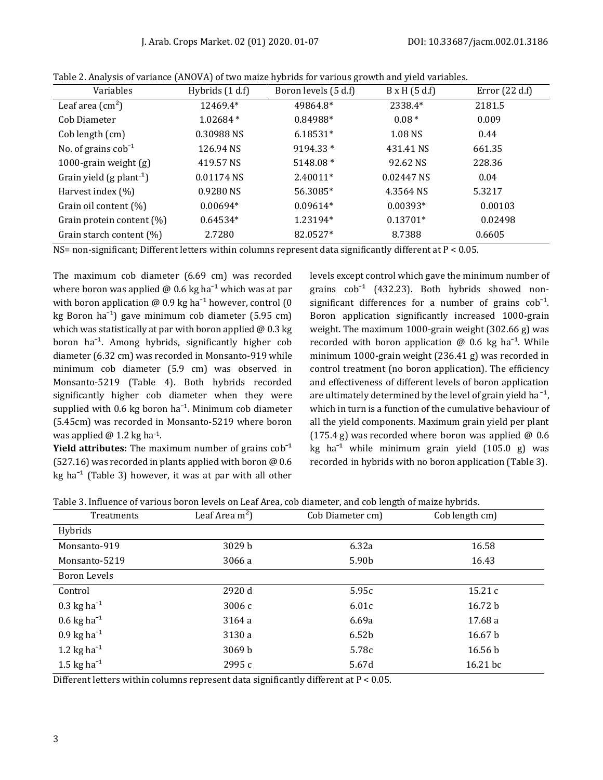| Variables                              | Hybrids (1 d.f) | Boron levels (5 d.f) | $B \times H$ (5 d.f) | Error $(22 d.f)$ |
|----------------------------------------|-----------------|----------------------|----------------------|------------------|
| Leaf area $\text{(cm}^2\text{)}$       | 12469.4*        | 49864.8*             | 2338.4*              | 2181.5           |
| Cob Diameter                           | $1.02684*$      | 0.84988*             | $0.08 *$             | 0.009            |
| Cob length (cm)                        | 0.30988 NS      | 6.18531*             | 1.08 NS              | 0.44             |
| No. of grains $\cosh^{-1}$             | 126.94 NS       | 9194.33 *            | 431.41 NS            | 661.35           |
| 1000-grain weight $(g)$                | 419.57 NS       | 5148.08 *            | 92.62 NS             | 228.36           |
| Grain yield $(g$ plant <sup>-1</sup> ) | 0.01174 NS      | 2.40011*             | 0.02447 NS           | 0.04             |
| Harvest index $(\%)$                   | 0.9280 NS       | 56.3085*             | 4.3564 NS            | 5.3217           |
| Grain oil content (%)                  | $0.00694*$      | $0.09614*$           | 0.00393*             | 0.00103          |
| Grain protein content $(\%)$           | $0.64534*$      | 1.23194*             | $0.13701*$           | 0.02498          |
| Grain starch content (%)               | 2.7280          | 82.0527*             | 8.7388               | 0.6605           |

Table 2. Analysis of variance (ANOVA) of two maize hybrids for various growth and yield variables.

NS= non-significant; Different letters within columns represent data significantly different at P < 0.05.

The maximum cob diameter (6.69 cm) was recorded where boron was applied  $\omega$  0.6 kg ha<sup>-1</sup> which was at par with boron application  $\omega$  0.9 kg ha<sup>-1</sup> however, control (0 kg Boron ha<sup> $-1$ </sup>) gave minimum cob diameter (5.95 cm) which was statistically at par with boron applied  $\omega$  0.3 kg boron  $ha^{-1}$ . Among hybrids, significantly higher cob diameter (6.32 cm) was recorded in Monsanto-919 while minimum cob diameter (5.9 cm) was observed in Monsanto-5219 (Table 4). Both hybrids recorded significantly higher cob diameter when they were supplied with 0.6 kg boron  $ha^{-1}$ . Minimum cob diameter (5.45cm) was recorded in Monsanto-5219 where boron was applied  $\omega$  1.2 kg ha<sup>-1</sup>.

**Yield attributes:** The maximum number of grains  $\cosh^{-1}$ (527.16) was recorded in plants applied with boron @ 0.6 kg ha<sup> $-1$ </sup> (Table 3) however, it was at par with all other levels except control which gave the minimum number of grains  $\cosh^{-1}$  (432.23). Both hybrids showed nonsignificant differences for a number of grains  $\cosh^{-1}$ . Boron application significantly increased 1000-grain weight. The maximum 1000-grain weight (302.66 g) was recorded with boron application  $\omega$  0.6 kg ha<sup>-1</sup>. While minimum 1000-grain weight (236.41 g) was recorded in control treatment (no boron application). The efficiency and effectiveness of different levels of boron application are ultimately determined by the level of grain yield ha<sup> $-1$ </sup>, which in turn is a function of the cumulative behaviour of all the yield components. Maximum grain yield per plant (175.4 g) was recorded where boron was applied  $\omega$  0.6 kg ha<sup> $-1$ </sup> while minimum grain yield  $(105.0 \text{ g})$  was recorded in hybrids with no boron application (Table 3).

Table 3. Influence of various boron levels on Leaf Area, cob diameter, and cob length of maize hybrids.

| Treatments                       | Leaf Area $m^2$ ) | Cob Diameter cm)  | Cob length cm)     |  |
|----------------------------------|-------------------|-------------------|--------------------|--|
| Hybrids                          |                   |                   |                    |  |
| Monsanto-919                     | 3029b             | 6.32a             | 16.58              |  |
| Monsanto-5219                    | 3066 a            | 5.90 <sub>b</sub> | 16.43              |  |
| Boron Levels                     |                   |                   |                    |  |
| Control                          | 2920 d            | 5.95c             | 15.21c             |  |
| $0.3 \text{ kg} \text{ ha}^{-1}$ | 3006 с            | 6.01c             | 16.72 b            |  |
| $0.6$ kg ha <sup>-1</sup>        | 3164 a            | 6.69a             | 17.68 a            |  |
| $0.9$ kg ha <sup>-1</sup>        | 3130 a            | 6.52 <sub>b</sub> | 16.67 <sub>b</sub> |  |
| 1.2 kg ha <sup>-1</sup>          | 3069 <sub>b</sub> | 5.78c             | 16.56 <sub>b</sub> |  |
| 1.5 kg ha <sup>-1</sup>          | 2995c             | 5.67d             | $16.21$ bc         |  |

Different letters within columns represent data significantly different at  $P < 0.05$ .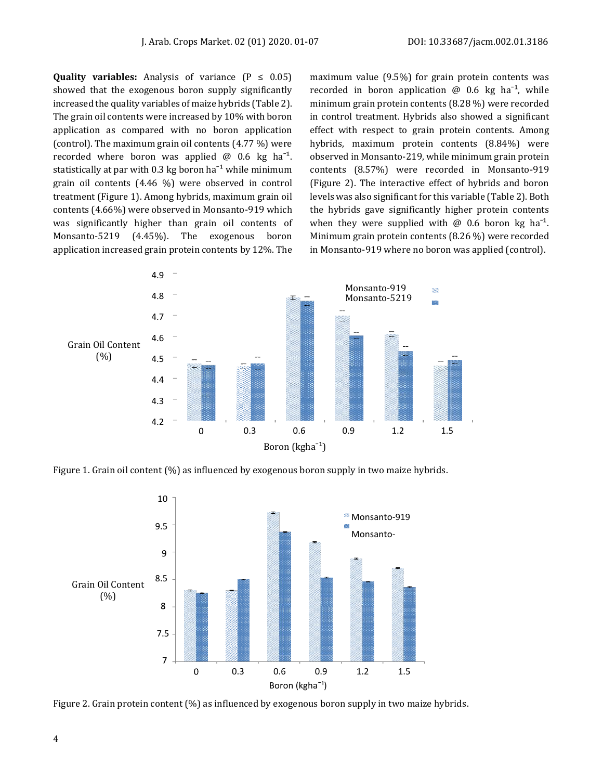**Quality variables:** Analysis of variance  $(P \le 0.05)$ showed that the exogenous boron supply significantly increased the quality variables of maize hybrids (Table 2). The grain oil contents were increased by 10% with boron application as compared with no boron application (control). The maximum grain oil contents (4.77 %) were recorded where boron was applied  $\omega$  0.6 kg ha<sup>-1</sup>. statistically at par with 0.3 kg boron ha<sup> $-1$ </sup> while minimum grain oil contents (4.46 %) were observed in control treatment (Figure 1). Among hybrids, maximum grain oil contents (4.66%) were observed in Monsanto-919 which was significantly higher than grain oil contents of Monsanto-5219 (4.45%). The exogenous boron application increased grain protein contents by 12%. The

maximum value (9.5%) for grain protein contents was recorded in boron application  $\omega$  0.6 kg ha<sup>-1</sup>, while minimum grain protein contents (8.28 %) were recorded in control treatment. Hybrids also showed a significant effect with respect to grain protein contents. Among hybrids, maximum protein contents (8.84%) were observed in Monsanto-219, while minimum grain protein contents (8.57%) were recorded in Monsanto-919 (Figure 2). The interactive effect of hybrids and boron levels was also significant for this variable (Table 2). Both the hybrids gave significantly higher protein contents when they were supplied with  $\omega$  0.6 boron kg ha<sup>-1</sup>. Minimum grain protein contents (8.26 %) were recorded in Monsanto-919 where no boron was applied (control).



Figure 1. Grain oil content (%) as influenced by exogenous boron supply in two maize hybrids.



Figure 2. Grain protein content (%) as influenced by exogenous boron supply in two maize hybrids.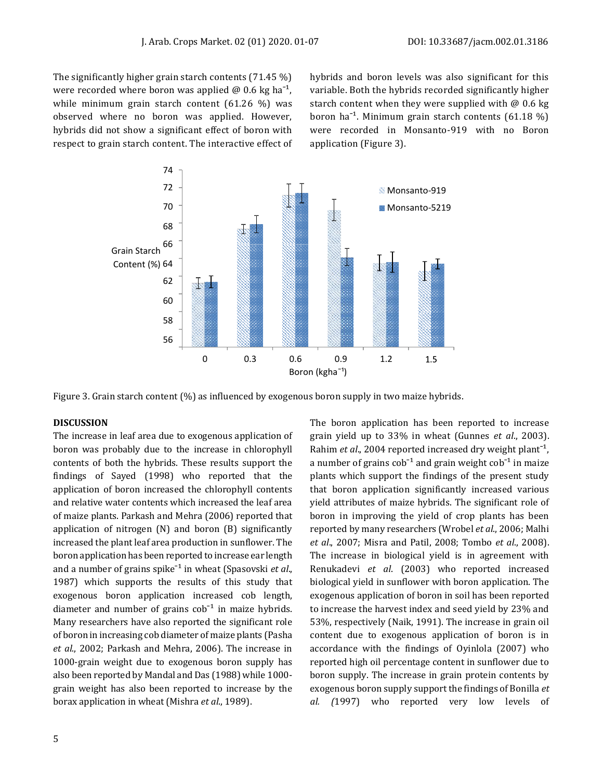The significantly higher grain starch contents (71.45 %) were recorded where boron was applied  $\omega$  0.6 kg ha<sup>-1</sup>, while minimum grain starch content (61.26 %) was observed where no boron was applied. However, hybrids did not show a significant effect of boron with respect to grain starch content. The interactive effect of hybrids and boron levels was also significant for this variable. Both the hybrids recorded significantly higher starch content when they were supplied with  $@$  0.6 kg boron ha<sup>-1</sup>. Minimum grain starch contents  $(61.18\%)$ were recorded in Monsanto-919 with no Boron application (Figure 3).



Figure 3. Grain starch content (%) as influenced by exogenous boron supply in two maize hybrids.

### **DISCUSSION**

The increase in leaf area due to exogenous application of boron was probably due to the increase in chlorophyll contents of both the hybrids. These results support the findings of Sayed (1998) who reported that the application of boron increased the chlorophyll contents and relative water contents which increased the leaf area of maize plants. Parkash and Mehra (2006) reported that application of nitrogen (N) and boron (B) significantly increased the plant leaf area production in sunflower. The boron application has been reported to increase ear length and a number of grains spike<sup>-1</sup> in wheat (Spasovski *et al.*, 1987) which supports the results of this study that exogenous boron application increased cob length, diameter and number of grains  $\cosh^{-1}$  in maize hybrids. Many researchers have also reported the significant role of boron in increasing cob diameter of maize plants (Pasha *et al*., 2002; Parkash and Mehra, 2006). The increase in 1000-grain weight due to exogenous boron supply has also been reported by Mandal and Das (1988) while 1000 grain weight has also been reported to increase by the borax application in wheat (Mishra *et al*., 1989).

5

The boron application has been reported to increase grain yield up to 33% in wheat (Gunnes *et al*., 2003). Rahim *et al.*, 2004 reported increased dry weight plant<sup>-1</sup>, a number of grains  $\cosh^{-1}$  and grain weight  $\cosh^{-1}$  in maize plants which support the findings of the present study that boron application significantly increased various yield attributes of maize hybrids. The significant role of boron in improving the yield of crop plants has been reported by many researchers (Wrobel *et al*., 2006; Malhi *et al*., 2007; Misra and Patil, 2008; Tombo *et al*., 2008). The increase in biological yield is in agreement with Renukadevi *et al*. (2003) who reported increased biological yield in sunflower with boron application. The exogenous application of boron in soil has been reported to increase the harvest index and seed yield by 23% and 53%, respectively (Naik, 1991). The increase in grain oil content due to exogenous application of boron is in accordance with the findings of Oyinlola (2007) who reported high oil percentage content in sunflower due to boron supply. The increase in grain protein contents by exogenous boron supply support the findings of Bonilla *et al. (*1997) who reported very low levels of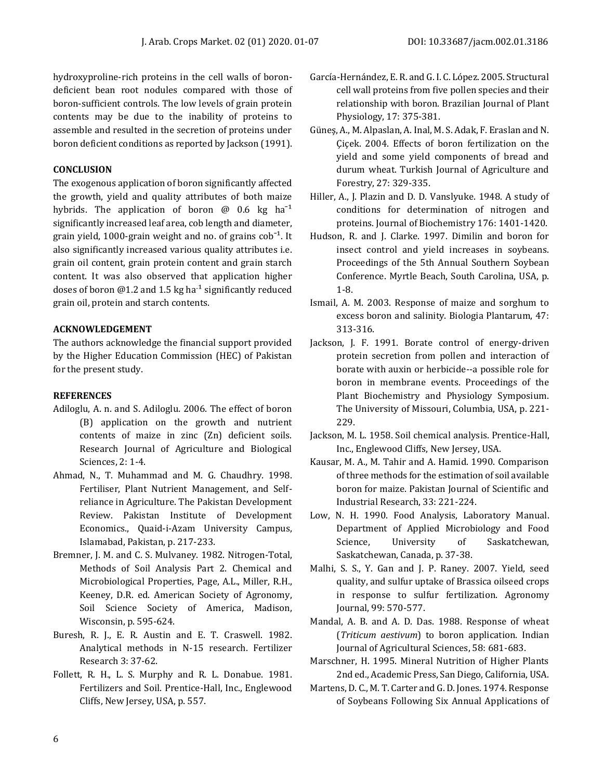hydroxyproline-rich proteins in the cell walls of borondeficient bean root nodules compared with those of boron-sufficient controls. The low levels of grain protein contents may be due to the inability of proteins to assemble and resulted in the secretion of proteins under boron deficient conditions as reported by Jackson (1991).

# **CONCLUSION**

The exogenous application of boron significantly affected the growth, yield and quality attributes of both maize hybrids. The application of boron  $\omega$  0.6 kg ha<sup>-1</sup> significantly increased leaf area, cob length and diameter, grain yield, 1000-grain weight and no. of grains  $\cosh^{-1}$ . It also significantly increased various quality attributes i.e. grain oil content, grain protein content and grain starch content. It was also observed that application higher doses of boron @1.2 and 1.5 kg ha<sup>-1</sup> significantly reduced grain oil, protein and starch contents.

# **ACKNOWLEDGEMENT**

The authors acknowledge the financial support provided by the Higher Education Commission (HEC) of Pakistan for the present study.

# **REFERENCES**

- Adiloglu, A. n. and S. Adiloglu. 2006. The effect of boron (B) application on the growth and nutrient contents of maize in zinc (Zn) deficient soils. Research Journal of Agriculture and Biological Sciences, 2: 1-4.
- Ahmad, N., T. Muhammad and M. G. Chaudhry. 1998. Fertiliser, Plant Nutrient Management, and Selfreliance in Agriculture. The Pakistan Development Review. Pakistan Institute of Development Economics., Quaid-i-Azam University Campus, Islamabad, Pakistan, p. 217-233.
- Bremner, J. M. and C. S. Mulvaney. 1982. Nitrogen-Total, Methods of Soil Analysis Part 2. Chemical and Microbiological Properties, Page, A.L., Miller, R.H., Keeney, D.R. ed. American Society of Agronomy, Soil Science Society of America, Madison, Wisconsin, p. 595-624.
- Buresh, R. J., E. R. Austin and E. T. Craswell. 1982. Analytical methods in N-15 research. Fertilizer Research 3: 37-62.
- Follett, R. H., L. S. Murphy and R. L. Donabue. 1981. Fertilizers and Soil. Prentice-Hall, Inc., Englewood Cliffs, New Jersey, USA, p. 557.
- García-Hernández, E. R. and G. I. C. López. 2005. Structural cell wall proteins from five pollen species and their relationship with boron. Brazilian Journal of Plant Physiology, 17: 375-381.
- Güneş, A., M. Alpaslan, A. Inal, M. S. Adak, F. Eraslan and N. Çiçek. 2004. Effects of boron fertilization on the yield and some yield components of bread and durum wheat. Turkish Journal of Agriculture and Forestry, 27: 329-335.
- Hiller, A., J. Plazin and D. D. Vanslyuke. 1948. A study of conditions for determination of nitrogen and proteins. Journal of Biochemistry 176: 1401-1420.
- Hudson, R. and J. Clarke. 1997. Dimilin and boron for insect control and yield increases in soybeans. Proceedings of the 5th Annual Southern Soybean Conference. Myrtle Beach, South Carolina, USA, p. 1-8.
- Ismail, A. M. 2003. Response of maize and sorghum to excess boron and salinity. Biologia Plantarum, 47: 313-316.
- Jackson, J. F. 1991. Borate control of energy-driven protein secretion from pollen and interaction of borate with auxin or herbicide--a possible role for boron in membrane events. Proceedings of the Plant Biochemistry and Physiology Symposium. The University of Missouri, Columbia, USA, p. 221- 229.
- Jackson, M. L. 1958. Soil chemical analysis. Prentice-Hall, Inc., Englewood Cliffs, New Jersey, USA.
- Kausar, M. A., M. Tahir and A. Hamid. 1990. Comparison of three methods for the estimation of soil available boron for maize. Pakistan Journal of Scientific and Industrial Research, 33: 221-224.
- Low, N. H. 1990. Food Analysis, Laboratory Manual. Department of Applied Microbiology and Food Science, University of Saskatchewan, Saskatchewan, Canada, p. 37-38.
- Malhi, S. S., Y. Gan and J. P. Raney. 2007. Yield, seed quality, and sulfur uptake of Brassica oilseed crops in response to sulfur fertilization. Agronomy Journal, 99: 570-577.
- Mandal, A. B. and A. D. Das. 1988. Response of wheat (*Triticum aestivum*) to boron application. Indian Journal of Agricultural Sciences, 58: 681-683.
- Marschner, H. 1995. Mineral Nutrition of Higher Plants 2nd ed., Academic Press, San Diego, California, USA.
- Martens, D. C., M. T. Carter and G. D. Jones. 1974. Response of Soybeans Following Six Annual Applications of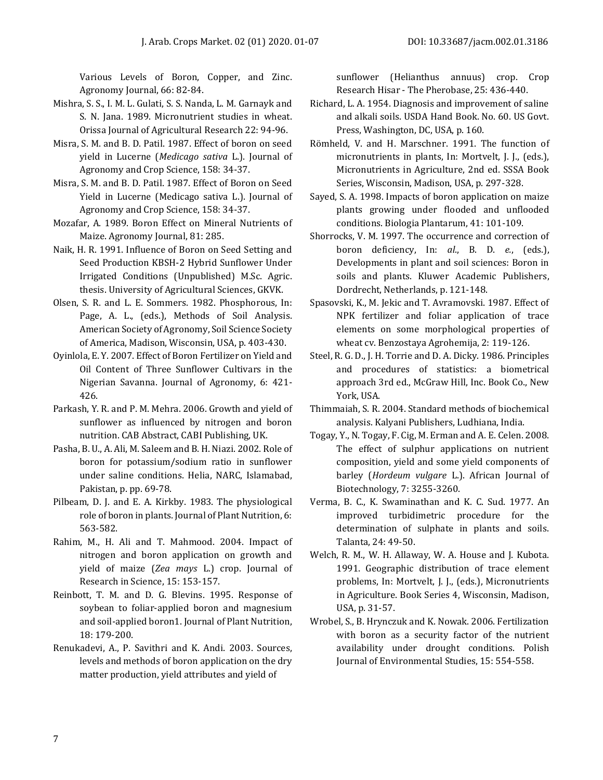Various Levels of Boron, Copper, and Zinc. Agronomy Journal, 66: 82-84.

- Mishra, S. S., I. M. L. Gulati, S. S. Nanda, L. M. Garnayk and S. N. Jana. 1989. Micronutrient studies in wheat. Orissa Journal of Agricultural Research 22: 94-96.
- Misra, S. M. and B. D. Patil. 1987. Effect of boron on seed yield in Lucerne (*Medicago sativa* L.). Journal of Agronomy and Crop Science, 158: 34-37.
- Misra, S. M. and B. D. Patil. 1987. Effect of Boron on Seed Yield in Lucerne (Medicago sativa L.). Journal of Agronomy and Crop Science, 158: 34-37.
- Mozafar, A. 1989. Boron Effect on Mineral Nutrients of Maize. Agronomy Journal, 81: 285.
- Naik, H. R. 1991. Influence of Boron on Seed Setting and Seed Production KBSH-2 Hybrid Sunflower Under Irrigated Conditions (Unpublished) M.Sc. Agric. thesis. University of Agricultural Sciences, GKVK.
- Olsen, S. R. and L. E. Sommers. 1982. Phosphorous, In: Page, A. L., (eds.), Methods of Soil Analysis. American Society of Agronomy, Soil Science Society of America, Madison, Wisconsin, USA, p. 403-430.
- Oyinlola, E. Y. 2007. Effect of Boron Fertilizer on Yield and Oil Content of Three Sunflower Cultivars in the Nigerian Savanna. Journal of Agronomy, 6: 421- 426.
- Parkash, Y. R. and P. M. Mehra. 2006. Growth and yield of sunflower as influenced by nitrogen and boron nutrition. CAB Abstract, CABI Publishing, UK.
- Pasha, B. U., A. Ali, M. Saleem and B. H. Niazi. 2002. Role of boron for potassium/sodium ratio in sunflower under saline conditions. Helia, NARC, Islamabad, Pakistan, p. pp. 69-78.
- Pilbeam, D. J. and E. A. Kirkby. 1983. The physiological role of boron in plants. Journal of Plant Nutrition, 6: 563-582.
- Rahim, M., H. Ali and T. Mahmood. 2004. Impact of nitrogen and boron application on growth and yield of maize (*Zea mays* L.) crop. Journal of Research in Science, 15: 153-157.
- Reinbott, T. M. and D. G. Blevins. 1995. Response of soybean to foliar‐applied boron and magnesium and soil‐applied boron1. Journal of Plant Nutrition, 18: 179-200.
- Renukadevi, A., P. Savithri and K. Andi. 2003. Sources, levels and methods of boron application on the dry matter production, yield attributes and yield of

sunflower (Helianthus annuus) crop. Crop Research Hisar - The Pherobase, 25: 436-440.

- Richard, L. A. 1954. Diagnosis and improvement of saline and alkali soils. USDA Hand Book. No. 60. US Govt. Press, Washington, DC, USA, p. 160.
- Römheld, V. and H. Marschner. 1991. The function of micronutrients in plants, In: Mortvelt, J. J., (eds.), Micronutrients in Agriculture, 2nd ed. SSSA Book Series, Wisconsin, Madison, USA, p. 297-328.
- Sayed, S. A. 1998. Impacts of boron application on maize plants growing under flooded and unflooded conditions. Biologia Plantarum, 41: 101-109.
- Shorrocks, V. M. 1997. The occurrence and correction of boron deficiency, In: *al*., B. D. *e.*, (eds.), Developments in plant and soil sciences: Boron in soils and plants. Kluwer Academic Publishers, Dordrecht, Netherlands, p. 121-148.
- Spasovski, K., M. Jekic and T. Avramovski. 1987. Effect of NPK fertilizer and foliar application of trace elements on some morphological properties of wheat cv. Benzostaya Agrohemija, 2: 119-126.
- Steel, R. G. D., J. H. Torrie and D. A. Dicky. 1986. Principles and procedures of statistics: a biometrical approach 3rd ed., McGraw Hill, Inc. Book Co., New York, USA.
- Thimmaiah, S. R. 2004. Standard methods of biochemical analysis. Kalyani Publishers, Ludhiana, India.
- Togay, Y., N. Togay, F. Cig, M. Erman and A. E. Celen. 2008. The effect of sulphur applications on nutrient composition, yield and some yield components of barley (*Hordeum vulgare* L.). African Journal of Biotechnology, 7: 3255-3260.
- Verma, B. C., K. Swaminathan and K. C. Sud. 1977. An improved turbidimetric procedure for the determination of sulphate in plants and soils. Talanta, 24: 49-50.
- Welch, R. M., W. H. Allaway, W. A. House and J. Kubota. 1991. Geographic distribution of trace element problems, In: Mortvelt, J. J., (eds.), Micronutrients in Agriculture. Book Series 4, Wisconsin, Madison, USA, p. 31-57.
- Wrobel, S., B. Hrynczuk and K. Nowak. 2006. Fertilization with boron as a security factor of the nutrient availability under drought conditions. Polish Journal of Environmental Studies, 15: 554-558.